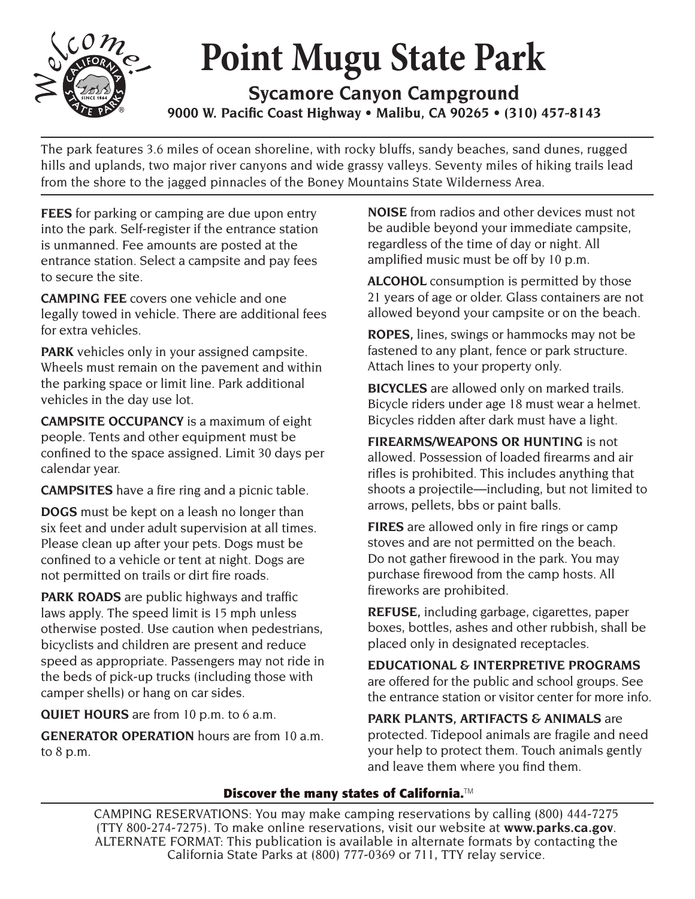

## **Point Mugu State Park**

## **Sycamore Canyon Campground 9000 W. Pacific Coast Highway • Malibu, CA 90265 • (310) 457-8143**

The park features 3.6 miles of ocean shoreline, with rocky bluffs, sandy beaches, sand dunes, rugged hills and uplands, two major river canyons and wide grassy valleys. Seventy miles of hiking trails lead from the shore to the jagged pinnacles of the Boney Mountains State Wilderness Area.

**FEES** for parking or camping are due upon entry into the park. Self-register if the entrance station is unmanned. Fee amounts are posted at the entrance station. Select a campsite and pay fees to secure the site.

**CAMPING FEE** covers one vehicle and one legally towed in vehicle. There are additional fees for extra vehicles.

**PARK** vehicles only in your assigned campsite. Wheels must remain on the pavement and within the parking space or limit line. Park additional vehicles in the day use lot.

**CAMPSITE OCCUPANCY** is a maximum of eight people. Tents and other equipment must be confined to the space assigned. Limit 30 days per calendar year.

**CAMPSITES** have a fire ring and a picnic table.

**DOGS** must be kept on a leash no longer than six feet and under adult supervision at all times. Please clean up after your pets. Dogs must be confined to a vehicle or tent at night. Dogs are not permitted on trails or dirt fire roads.

**PARK ROADS** are public highways and traffic laws apply. The speed limit is 15 mph unless otherwise posted. Use caution when pedestrians, bicyclists and children are present and reduce speed as appropriate. Passengers may not ride in the beds of pick-up trucks (including those with camper shells) or hang on car sides.

**QUIET HOURS** are from 10 p.m. to 6 a.m.

**GENERATOR OPERATION** hours are from 10 a.m. to 8 p.m.

**NOISE** from radios and other devices must not be audible beyond your immediate campsite, regardless of the time of day or night. All amplified music must be off by 10 p.m.

**ALCOHOL** consumption is permitted by those 21 years of age or older. Glass containers are not allowed beyond your campsite or on the beach.

**ROPES,** lines, swings or hammocks may not be fastened to any plant, fence or park structure. Attach lines to your property only.

**BICYCLES** are allowed only on marked trails. Bicycle riders under age 18 must wear a helmet. Bicycles ridden after dark must have a light.

**FIREARMS/WEAPONS OR HUNTING** is not allowed. Possession of loaded firearms and air rifles is prohibited. This includes anything that shoots a projectile—including, but not limited to arrows, pellets, bbs or paint balls.

**FIRES** are allowed only in fire rings or camp stoves and are not permitted on the beach. Do not gather firewood in the park. You may purchase firewood from the camp hosts. All fireworks are prohibited.

**REFUSE,** including garbage, cigarettes, paper boxes, bottles, ashes and other rubbish, shall be placed only in designated receptacles.

**EDUCATIONAL & INTERPRETIVE PROGRAMS** are offered for the public and school groups. See the entrance station or visitor center for more info.

**PARK PLANTS, ARTIFACTS & ANIMALS** are protected. Tidepool animals are fragile and need your help to protect them. Touch animals gently and leave them where you find them.

## **Discover the many states of California.**™

CAMPING RESERVATIONS: You may make camping reservations by calling (800) 444-7275 (TTY 800-274-7275). To make online reservations, visit our website at **[www.parks.ca.gov](http://www.parks.ca.gov)**. ALTERNATE FORMAT: This publication is available in alternate formats by contacting the California State Parks at (800) 777-0369 or 711, TTY relay service.